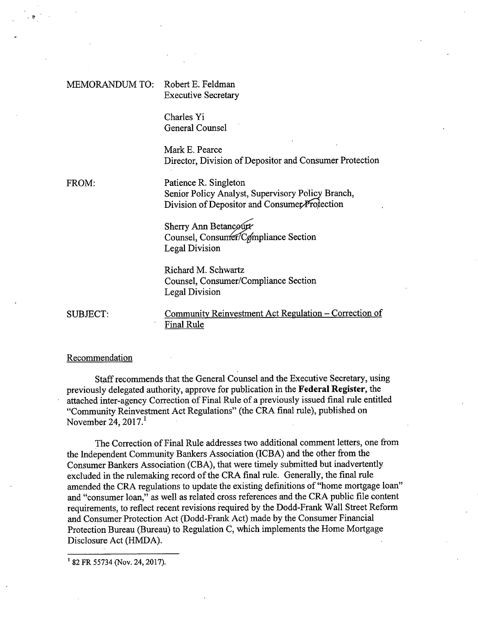# MEMORANDUM TO: Robert E. Feldman

# Executive Secretary

Charles Yi General Counsel

Mark E. Pearce Director, Division of Depositor and Consumer Protection

FROM:

.~

Patience R. Singleton Senior Policy Analyst, Supervisory Policy Branch, Division of Depositor and Consumer Profection

Sherry Ann Betancourt Counsel, Consumer/Compliance Section Legal Division

Richard M. Schwartz Counsel, Consumer/Compliance Section Legal Division

SUBJECT:

Community Reinvestment Act Regulation - Correction of **Final Rule** 

## Recommendation

Staff recommends that the General Counsel and the Executive Secretary, using previously delegated authority, approve for publication in the **Federal Register,** the attached inter-agency Correction of Final Rule of a previously issued final rule entitled "Community Reinvestment Act Regulations" (the CRA final rule), published on November 24,  $2017<sup>1</sup>$ 

The Correction of Final Rule addresses two additional comment letters, one from the Independent Community Bankers Association (lCBA) and the other from the Consumer Bankers Association (CBA), that were timely submitted but inadvertently excluded in the rulemaking record of the CRA final rule. Generally, the final rule amended the CRA regulations to update the existing definitions of "home mortgage loan" and "consumer loan," as well as related cross references and the CRA public file content requirements, to reflect recent revisions required by the Dodd-Frank Wall Street Reform and Consumer Protection Act (Dodd-Frank Act) made by the Consumer Financial Protection Bureau (Bureau) to Regulation C, which implements the Home Mortgage Disclosure Act (HMDA).

<sup>1</sup> 82 FR 55734 (Nov. 24, 2017).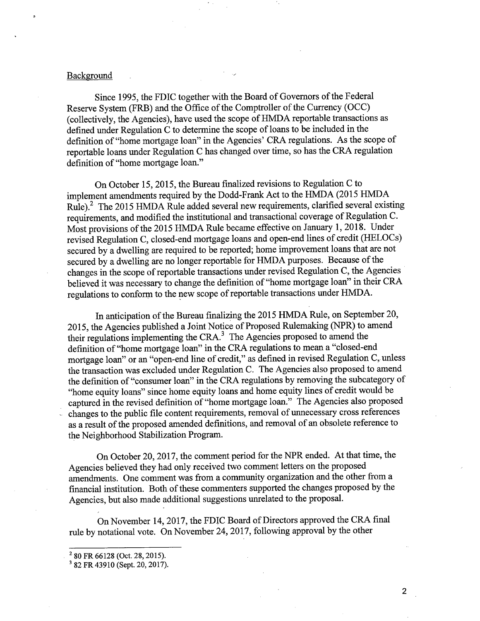## Background

Since 1995, the FDIC together with the Board of Governors of the Federal Reserve System (FRB) and the Office of the Comptroller of the Currency (OCC) (collectively, the Agencies), have used the scope of HMDA reportable transactions as defined under Regulation C to determine the scope of loans to be included in the definition of "home mortgage loan" in the Agencies' CRA regulations. As the scope of reportable loans under Regulation C has changed over time, so has the CRA regulation definition of "home mortgage loan."

On October 15,2015, the Bureau finalized revisions to Regulation C to implement amendments required by the Dodd-Frank Act to the HMDA (2015 HMDA Rule).<sup>2</sup> The 2015 HMDA Rule added several new requirements, clarified several existing requirements, and modified the institutional and transactional coverage of Regulation C. Most provisions of the 2015 HMDA Rule became effective on January 1, 2018. Under revised Regulation C, closed-end mortgage loans and open-end lines of credit (HELOCs) secured by a dwelling are required to be reported; home improvement loans that are not secured by a dwelling are no longer reportable for HMDA purposes. Because of the changes in the scope of reportable transactions under revised Regulation C, the Agencies believed it was necessary to change the definition of "home mortgage loan" in their CRA regulations to conform to the new scope of reportable transactions under HMDA.

In anticipation of the Bureau finalizing the 2015 HMDA Rule, on September 20, 2015, the Agencies published a Joint Notice of Proposed Rulemaking (NPR) to amend their regulations implementing the CRA. $3$  The Agencies proposed to amend the definition of "home mortgage loan" in the CRA regulations to mean a "closed-end mortgage loan" or an "open-end line of credit," as defined in revised Regulation C, unless the transaction was excluded under Regulation C. The Agencies also proposed to amend the definition of "consumer loan" in the CRA regulations by removing the subcategory of "home equity loans" since home equity loans and home equity lines of credit would be captured in the revised definition of "home mortgage loan." The Agencies also proposed changes to the public file content requirements, removal of unnecessary cross references as a result of the proposed amended definitions, and removal of an obsolete reference to the Neighborhood Stabilization Program.

On October 20, 2017, the comment period for the NPR ended. At that time, the Agencies believed they had only received two comment letters on the proposed amendments. One comment was from a community organization and the other from a fmancial institution. Both of these commenters supported the changes proposed by the Agencies, but also made additional suggestions unrelated to the proposal.

On November 14,2017, the FDIC Board of Directors approved the CRA final rule by notational vote. On November 24,2017, following approval by the other

2

<sup>&</sup>lt;sup>2</sup> 80 FR 66128 (Oct. 28, 2015).

 $382$  FR 43910 (Sept. 20, 2017).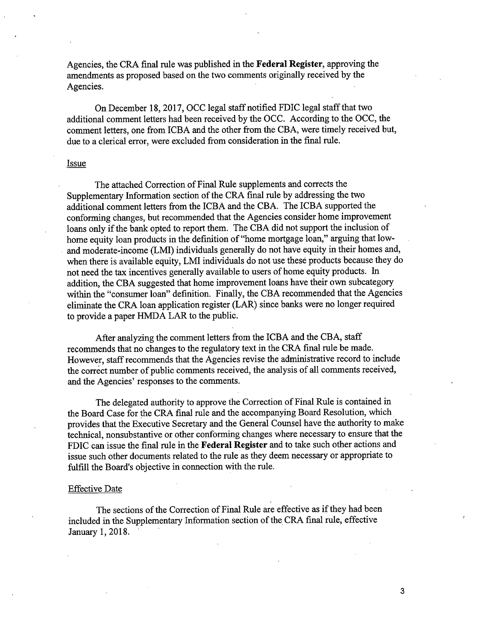Agencies, the CRA final rule was published in the Federal Register, approving the amendments as proposed based on the two comments originally received by the Agencies.

On December 18, 2017, OCC legal staff notified FDIC legal staff that two additional comment letters had been received by the OCC. According to the OCC, the comment letters, one from ICBA and the other from the CBA, were timely received but, due to a clerical error, were excluded from consideration in the final rule.

### Issue

The attached Correction of Final Rule supplements and corrects the Supplementary Information section of the CRA final rule by addressing the two additional comment letters from the ICBA and the CBA. The ICBA supported the conforming changes, but recommended that the Agencies consider home improvement loans only if the bank opted to report them. The CBA did not support the inclusion of home equity loan products in the definition of "home mortgage loan," arguing that low-. and moderate-income (LM!) individuals generally do not have equity in their homes and, when there is available equity, LMI individuals do not use these products because they do not need the tax incentives generally available to users of home equity products. In addition, the CBA suggested that home improvement loans have their own subcategory within the "consumer loan" definition. Finally, the CBA recommended that the Agencies eliminate the CRA loan application register (LAR) since banks were no longer required to provide a paper HMDA LAR to the public.

After analyzing the comment letters from the ICBA and the CBA, staff recommends that no changes to the regulatory text in the CRA final rule be made. However, staff recommends that the Agencies revise the administrative record to include the correct number of public comments received, the analysis of all comments received, and the Agencies' responses to the comments.

The delegated authority to approve the Correction of Final Rule is contained in the Board Case for the CRA final rule and the accompanying Board Resolution, which provides that the Executive Secretary and the General Counsel have the authority to make technical, nonsubstantive or other conforming changes where necessary to ensure that the FDIC can issue the final rule in the Federal Register and to take such other actions and issue such other documents related to the rule as they deem necessary or appropriate to fulfill the Board's objective in connection with the rule.

### Effective Date

The sections of the Correction of Final Rule are effective as if they had been included in the Supplementary Information section of the CRA final rule, effective January 1,2018.